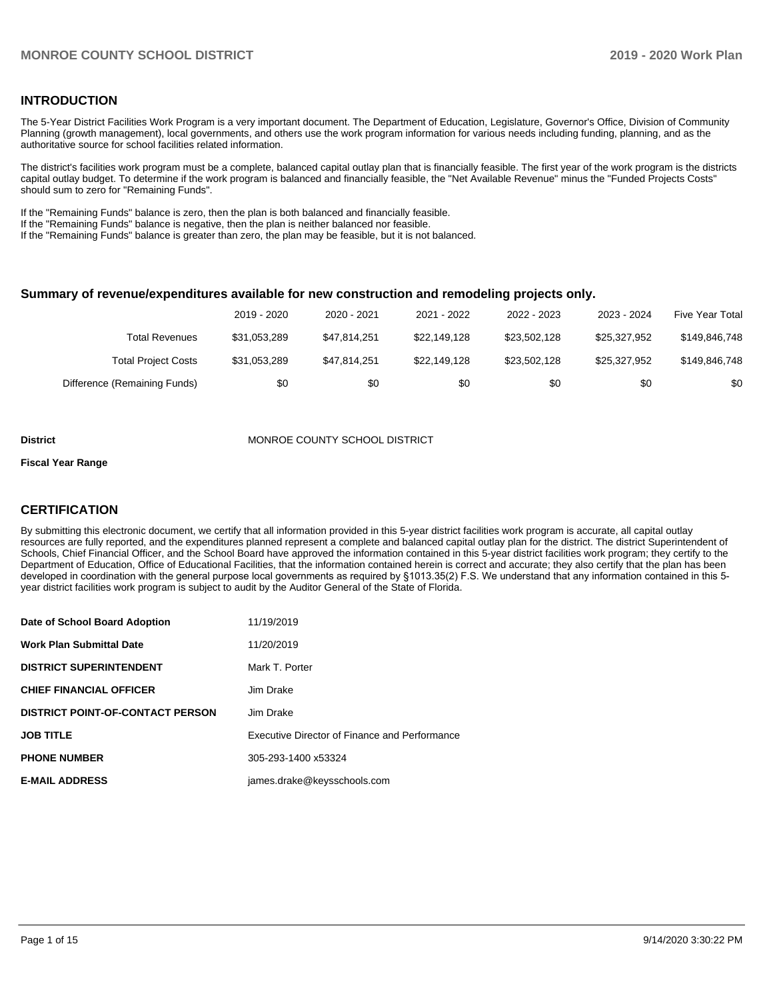# **INTRODUCTION**

The 5-Year District Facilities Work Program is a very important document. The Department of Education, Legislature, Governor's Office, Division of Community Planning (growth management), local governments, and others use the work program information for various needs including funding, planning, and as the authoritative source for school facilities related information.

The district's facilities work program must be a complete, balanced capital outlay plan that is financially feasible. The first year of the work program is the districts capital outlay budget. To determine if the work program is balanced and financially feasible, the "Net Available Revenue" minus the "Funded Projects Costs" should sum to zero for "Remaining Funds".

If the "Remaining Funds" balance is zero, then the plan is both balanced and financially feasible.

If the "Remaining Funds" balance is negative, then the plan is neither balanced nor feasible.

If the "Remaining Funds" balance is greater than zero, the plan may be feasible, but it is not balanced.

### **Summary of revenue/expenditures available for new construction and remodeling projects only.**

|                              | 2019 - 2020  | 2020 - 2021  | 2021 - 2022  | 2022 - 2023  | 2023 - 2024  | <b>Five Year Total</b> |
|------------------------------|--------------|--------------|--------------|--------------|--------------|------------------------|
| Total Revenues               | \$31.053.289 | \$47.814.251 | \$22.149.128 | \$23.502.128 | \$25.327.952 | \$149,846,748          |
| <b>Total Project Costs</b>   | \$31,053,289 | \$47.814.251 | \$22.149.128 | \$23.502.128 | \$25.327.952 | \$149,846,748          |
| Difference (Remaining Funds) | \$0          | \$0          | \$0          | \$0          | \$0          | \$0                    |

#### **District MONROE COUNTY SCHOOL DISTRICT**

#### **Fiscal Year Range**

# **CERTIFICATION**

By submitting this electronic document, we certify that all information provided in this 5-year district facilities work program is accurate, all capital outlay resources are fully reported, and the expenditures planned represent a complete and balanced capital outlay plan for the district. The district Superintendent of Schools, Chief Financial Officer, and the School Board have approved the information contained in this 5-year district facilities work program; they certify to the Department of Education, Office of Educational Facilities, that the information contained herein is correct and accurate; they also certify that the plan has been developed in coordination with the general purpose local governments as required by §1013.35(2) F.S. We understand that any information contained in this 5 year district facilities work program is subject to audit by the Auditor General of the State of Florida.

| Date of School Board Adoption           | 11/19/2019                                    |
|-----------------------------------------|-----------------------------------------------|
| <b>Work Plan Submittal Date</b>         | 11/20/2019                                    |
| <b>DISTRICT SUPERINTENDENT</b>          | Mark T. Porter                                |
| <b>CHIEF FINANCIAL OFFICER</b>          | Jim Drake                                     |
| <b>DISTRICT POINT-OF-CONTACT PERSON</b> | Jim Drake                                     |
| <b>JOB TITLE</b>                        | Executive Director of Finance and Performance |
| <b>PHONE NUMBER</b>                     | 305-293-1400 x53324                           |
| <b>E-MAIL ADDRESS</b>                   | james.drake@keysschools.com                   |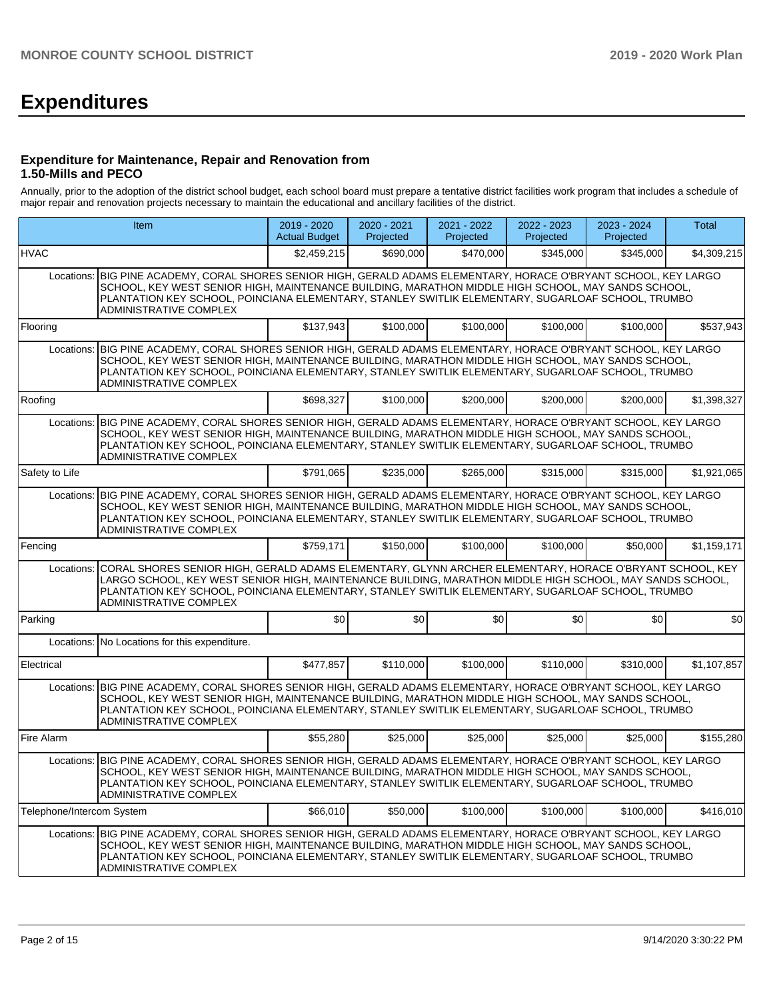# **Expenditures**

## **Expenditure for Maintenance, Repair and Renovation from 1.50-Mills and PECO**

Annually, prior to the adoption of the district school budget, each school board must prepare a tentative district facilities work program that includes a schedule of major repair and renovation projects necessary to maintain the educational and ancillary facilities of the district.

|                           | <b>Item</b>                                                                                                                                                                                                                                                                                                                                            |             | 2020 - 2021<br>Projected | 2021 - 2022<br>Projected | 2022 - 2023<br>Projected | 2023 - 2024<br>Projected | Total       |  |  |  |  |  |
|---------------------------|--------------------------------------------------------------------------------------------------------------------------------------------------------------------------------------------------------------------------------------------------------------------------------------------------------------------------------------------------------|-------------|--------------------------|--------------------------|--------------------------|--------------------------|-------------|--|--|--|--|--|
| <b>HVAC</b>               |                                                                                                                                                                                                                                                                                                                                                        | \$2,459,215 | \$690,000                | \$470,000                | \$345,000                | \$345,000                | \$4,309,215 |  |  |  |  |  |
| Locations:                | BIG PINE ACADEMY, CORAL SHORES SENIOR HIGH, GERALD ADAMS ELEMENTARY, HORACE O'BRYANT SCHOOL, KEY LARGO<br>SCHOOL, KEY WEST SENIOR HIGH, MAINTENANCE BUILDING, MARATHON MIDDLE HIGH SCHOOL, MAY SANDS SCHOOL,<br>PLANTATION KEY SCHOOL, POINCIANA ELEMENTARY, STANLEY SWITLIK ELEMENTARY, SUGARLOAF SCHOOL, TRUMBO<br>ADMINISTRATIVE COMPLEX            |             |                          |                          |                          |                          |             |  |  |  |  |  |
| Flooring                  |                                                                                                                                                                                                                                                                                                                                                        | \$137,943   | \$100,000                | \$100,000                | \$100,000                | \$100,000                | \$537,943   |  |  |  |  |  |
| Locations:                | BIG PINE ACADEMY, CORAL SHORES SENIOR HIGH, GERALD ADAMS ELEMENTARY, HORACE O'BRYANT SCHOOL, KEY LARGO<br>SCHOOL, KEY WEST SENIOR HIGH, MAINTENANCE BUILDING, MARATHON MIDDLE HIGH SCHOOL, MAY SANDS SCHOOL,<br>PLANTATION KEY SCHOOL, POINCIANA ELEMENTARY, STANLEY SWITLIK ELEMENTARY, SUGARLOAF SCHOOL, TRUMBO<br>ADMINISTRATIVE COMPLEX            |             |                          |                          |                          |                          |             |  |  |  |  |  |
| Roofing                   |                                                                                                                                                                                                                                                                                                                                                        | \$698,327   | \$100,000                | \$200,000                | \$200,000                | \$200,000                | \$1,398,327 |  |  |  |  |  |
| Locations:                | BIG PINE ACADEMY, CORAL SHORES SENIOR HIGH, GERALD ADAMS ELEMENTARY, HORACE O'BRYANT SCHOOL, KEY LARGO<br>SCHOOL, KEY WEST SENIOR HIGH, MAINTENANCE BUILDING, MARATHON MIDDLE HIGH SCHOOL, MAY SANDS SCHOOL,<br>PLANTATION KEY SCHOOL, POINCIANA ELEMENTARY, STANLEY SWITLIK ELEMENTARY, SUGARLOAF SCHOOL, TRUMBO<br>ADMINISTRATIVE COMPLEX            |             |                          |                          |                          |                          |             |  |  |  |  |  |
| Safety to Life            |                                                                                                                                                                                                                                                                                                                                                        | \$791,065   | \$235,000                | \$265,000                | \$315,000                | \$315,000                | \$1,921,065 |  |  |  |  |  |
| Locations:                | BIG PINE ACADEMY, CORAL SHORES SENIOR HIGH, GERALD ADAMS ELEMENTARY, HORACE O'BRYANT SCHOOL, KEY LARGO<br>SCHOOL, KEY WEST SENIOR HIGH, MAINTENANCE BUILDING, MARATHON MIDDLE HIGH SCHOOL, MAY SANDS SCHOOL,<br>PLANTATION KEY SCHOOL, POINCIANA ELEMENTARY, STANLEY SWITLIK ELEMENTARY, SUGARLOAF SCHOOL, TRUMBO<br>ADMINISTRATIVE COMPLEX            |             |                          |                          |                          |                          |             |  |  |  |  |  |
| Fencing                   |                                                                                                                                                                                                                                                                                                                                                        | \$759,171   | \$150,000                | \$100,000                | \$100,000                | \$50,000                 | \$1,159,171 |  |  |  |  |  |
| Locations:                | CORAL SHORES SENIOR HIGH, GERALD ADAMS ELEMENTARY, GLYNN ARCHER ELEMENTARY, HORACE O'BRYANT SCHOOL, KEY<br>LARGO SCHOOL. KEY WEST SENIOR HIGH. MAINTENANCE BUILDING. MARATHON MIDDLE HIGH SCHOOL. MAY SANDS SCHOOL.<br>PLANTATION KEY SCHOOL, POINCIANA ELEMENTARY, STANLEY SWITLIK ELEMENTARY, SUGARLOAF SCHOOL, TRUMBO<br>ADMINISTRATIVE COMPLEX     |             |                          |                          |                          |                          |             |  |  |  |  |  |
| Parking                   |                                                                                                                                                                                                                                                                                                                                                        | \$0         | \$0                      | \$0                      | \$0                      | \$0                      | \$0         |  |  |  |  |  |
| Locations:                | No Locations for this expenditure.                                                                                                                                                                                                                                                                                                                     |             |                          |                          |                          |                          |             |  |  |  |  |  |
| Electrical                |                                                                                                                                                                                                                                                                                                                                                        | \$477,857   | \$110,000                | \$100,000                | \$110,000                | \$310,000                | \$1,107,857 |  |  |  |  |  |
| Locations:                | BIG PINE ACADEMY, CORAL SHORES SENIOR HIGH, GERALD ADAMS ELEMENTARY, HORACE O'BRYANT SCHOOL, KEY LARGO<br>SCHOOL, KEY WEST SENIOR HIGH, MAINTENANCE BUILDING, MARATHON MIDDLE HIGH SCHOOL, MAY SANDS SCHOOL,<br>PLANTATION KEY SCHOOL, POINCIANA ELEMENTARY, STANLEY SWITLIK ELEMENTARY, SUGARLOAF SCHOOL, TRUMBO<br>ADMINISTRATIVE COMPLEX            |             |                          |                          |                          |                          |             |  |  |  |  |  |
| Fire Alarm                |                                                                                                                                                                                                                                                                                                                                                        | \$55,280    | \$25,000                 | \$25,000                 | \$25,000                 | \$25,000                 | \$155,280   |  |  |  |  |  |
| Locations:                | BIG PINE ACADEMY, CORAL SHORES SENIOR HIGH, GERALD ADAMS ELEMENTARY, HORACE O'BRYANT SCHOOL, KEY LARGO<br>SCHOOL, KEY WEST SENIOR HIGH, MAINTENANCE BUILDING, MARATHON MIDDLE HIGH SCHOOL, MAY SANDS SCHOOL,<br>PLANTATION KEY SCHOOL, POINCIANA ELEMENTARY, STANLEY SWITLIK ELEMENTARY, SUGARLOAF SCHOOL, TRUMBO<br>ADMINISTRATIVE COMPLEX            |             |                          |                          |                          |                          |             |  |  |  |  |  |
| Telephone/Intercom System |                                                                                                                                                                                                                                                                                                                                                        | \$66,010    | \$50,000                 | \$100,000                | \$100,000                | \$100.000                | \$416,010   |  |  |  |  |  |
|                           | Locations: BIG PINE ACADEMY, CORAL SHORES SENIOR HIGH, GERALD ADAMS ELEMENTARY, HORACE O'BRYANT SCHOOL, KEY LARGO<br>SCHOOL, KEY WEST SENIOR HIGH, MAINTENANCE BUILDING, MARATHON MIDDLE HIGH SCHOOL, MAY SANDS SCHOOL,<br>PLANTATION KEY SCHOOL, POINCIANA ELEMENTARY, STANLEY SWITLIK ELEMENTARY, SUGARLOAF SCHOOL, TRUMBO<br>ADMINISTRATIVE COMPLEX |             |                          |                          |                          |                          |             |  |  |  |  |  |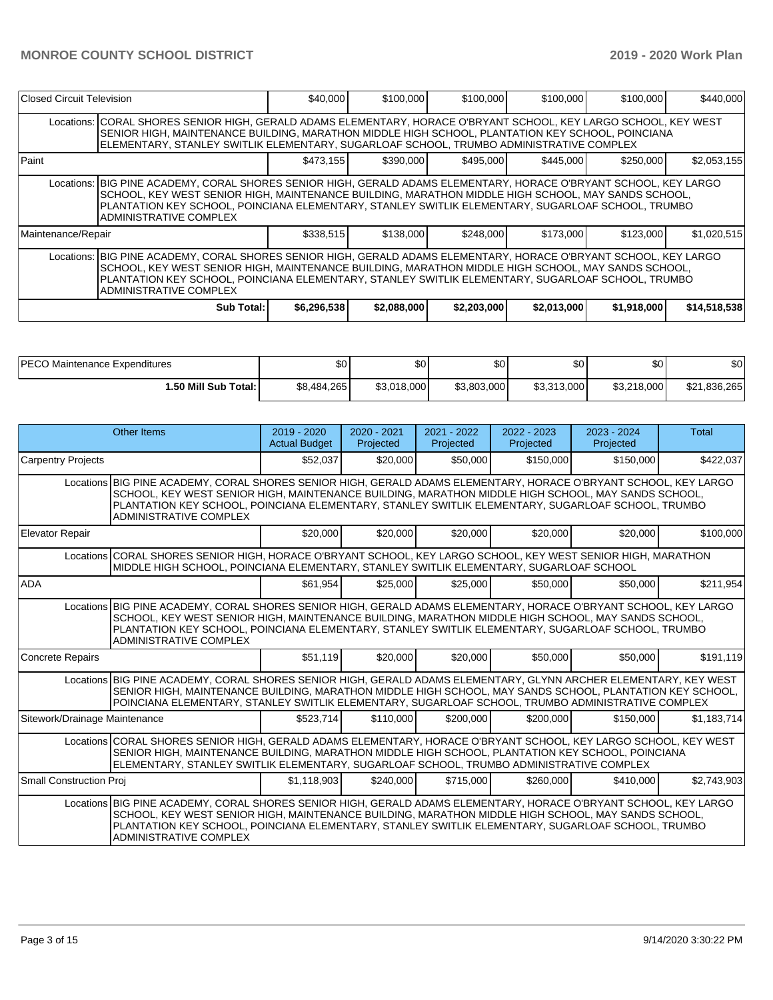| Closed Circuit Television                                                                                                                                                                                                                                                                                                                               |                                                                                                                                                                                                                                                                                                                                                               | \$40,000    | \$100,000   | \$100,000   | \$100,000   | \$100,000   | \$440,000    |  |
|---------------------------------------------------------------------------------------------------------------------------------------------------------------------------------------------------------------------------------------------------------------------------------------------------------------------------------------------------------|---------------------------------------------------------------------------------------------------------------------------------------------------------------------------------------------------------------------------------------------------------------------------------------------------------------------------------------------------------------|-------------|-------------|-------------|-------------|-------------|--------------|--|
|                                                                                                                                                                                                                                                                                                                                                         | Locations: CORAL SHORES SENIOR HIGH, GERALD ADAMS ELEMENTARY, HORACE O'BRYANT SCHOOL, KEY LARGO SCHOOL, KEY WEST<br>SENIOR HIGH, MAINTENANCE BUILDING, MARATHON MIDDLE HIGH SCHOOL, PLANTATION KEY SCHOOL, POINCIANA<br>ELEMENTARY, STANLEY SWITLIK ELEMENTARY, SUGARLOAF SCHOOL, TRUMBO ADMINISTRATIVE COMPLEX                                               |             |             |             |             |             |              |  |
| Paint                                                                                                                                                                                                                                                                                                                                                   |                                                                                                                                                                                                                                                                                                                                                               | \$473.155   | \$390,000   | \$495,000   | \$445,000   | \$250,000   | \$2,053,155  |  |
|                                                                                                                                                                                                                                                                                                                                                         | Locations: BIG PINE ACADEMY, CORAL SHORES SENIOR HIGH, GERALD ADAMS ELEMENTARY, HORACE O'BRYANT SCHOOL, KEY LARGO<br>SCHOOL, KEY WEST SENIOR HIGH, MAINTENANCE BUILDING, MARATHON MIDDLE HIGH SCHOOL, MAY SANDS SCHOOL,<br>PLANTATION KEY SCHOOL, POINCIANA ELEMENTARY, STANLEY SWITLIK ELEMENTARY, SUGARLOAF SCHOOL, TRUMBO<br><b>ADMINISTRATIVE COMPLEX</b> |             |             |             |             |             |              |  |
| Maintenance/Repair                                                                                                                                                                                                                                                                                                                                      |                                                                                                                                                                                                                                                                                                                                                               | \$338,515   | \$138,000   | \$248,000   | \$173,000   | \$123,000   | \$1,020,515  |  |
| Locations: BIG PINE ACADEMY, CORAL SHORES SENIOR HIGH, GERALD ADAMS ELEMENTARY, HORACE O'BRYANT SCHOOL, KEY LARGO<br>SCHOOL, KEY WEST SENIOR HIGH, MAINTENANCE BUILDING, MARATHON MIDDLE HIGH SCHOOL, MAY SANDS SCHOOL,<br>IPLANTATION KEY SCHOOL. POINCIANA ELEMENTARY. STANLEY SWITLIK ELEMENTARY. SUGARLOAF SCHOOL. TRUMBO<br>ADMINISTRATIVE COMPLEX |                                                                                                                                                                                                                                                                                                                                                               |             |             |             |             |             |              |  |
|                                                                                                                                                                                                                                                                                                                                                         | <b>Sub Total:</b>                                                                                                                                                                                                                                                                                                                                             | \$6,296,538 | \$2,088,000 | \$2,203,000 | \$2,013,000 | \$1,918,000 | \$14,518,538 |  |

| <b>IPECO Maintenance Expenditures</b> | \$0         | ሖ<br>υv     | \$0         | \$0         | \$0         | \$0          |
|---------------------------------------|-------------|-------------|-------------|-------------|-------------|--------------|
| 1.50 Mill Sub Total: I                | \$8,484,265 | \$3,018,000 | \$3,803,000 | \$3,313,000 | \$3,218,000 | \$21,836,265 |

|                                | <b>Other Items</b>                                                                                                                                                                                                                                                                                                                                           | 2019 - 2020<br><b>Actual Budget</b> | $2020 - 2021$<br>Projected | 2021 - 2022<br>Projected | $2022 - 2023$<br>Projected | $2023 - 2024$<br>Projected | Total       |  |  |
|--------------------------------|--------------------------------------------------------------------------------------------------------------------------------------------------------------------------------------------------------------------------------------------------------------------------------------------------------------------------------------------------------------|-------------------------------------|----------------------------|--------------------------|----------------------------|----------------------------|-------------|--|--|
| <b>Carpentry Projects</b>      |                                                                                                                                                                                                                                                                                                                                                              | \$52,037                            | \$20,000                   | \$50,000                 | \$150,000                  | \$150,000                  | \$422,037   |  |  |
|                                | Locations BIG PINE ACADEMY, CORAL SHORES SENIOR HIGH, GERALD ADAMS ELEMENTARY, HORACE O'BRYANT SCHOOL, KEY LARGO<br>SCHOOL, KEY WEST SENIOR HIGH, MAINTENANCE BUILDING, MARATHON MIDDLE HIGH SCHOOL, MAY SANDS SCHOOL,<br>PLANTATION KEY SCHOOL, POINCIANA ELEMENTARY, STANLEY SWITLIK ELEMENTARY, SUGARLOAF SCHOOL, TRUMBO<br><b>ADMINISTRATIVE COMPLEX</b> |                                     |                            |                          |                            |                            |             |  |  |
| <b>Elevator Repair</b>         |                                                                                                                                                                                                                                                                                                                                                              | \$20,000                            | \$20,000                   | \$20,000                 | \$20,000                   | \$20,000                   | \$100,000   |  |  |
|                                | Locations CORAL SHORES SENIOR HIGH, HORACE O'BRYANT SCHOOL, KEY LARGO SCHOOL, KEY WEST SENIOR HIGH, MARATHON<br>MIDDLE HIGH SCHOOL, POINCIANA ELEMENTARY, STANLEY SWITLIK ELEMENTARY, SUGARLOAF SCHOOL                                                                                                                                                       |                                     |                            |                          |                            |                            |             |  |  |
| <b>ADA</b>                     |                                                                                                                                                                                                                                                                                                                                                              | \$61,954                            | \$25,000                   | \$25,000                 | \$50,000                   | \$50,000                   | \$211,954   |  |  |
|                                | Locations BIG PINE ACADEMY, CORAL SHORES SENIOR HIGH, GERALD ADAMS ELEMENTARY, HORACE O'BRYANT SCHOOL, KEY LARGO<br>SCHOOL, KEY WEST SENIOR HIGH, MAINTENANCE BUILDING, MARATHON MIDDLE HIGH SCHOOL, MAY SANDS SCHOOL,<br>PLANTATION KEY SCHOOL, POINCIANA ELEMENTARY, STANLEY SWITLIK ELEMENTARY, SUGARLOAF SCHOOL, TRUMBO<br>ADMINISTRATIVE COMPLEX        |                                     |                            |                          |                            |                            |             |  |  |
| <b>Concrete Repairs</b>        |                                                                                                                                                                                                                                                                                                                                                              | \$51,119                            | \$20,000                   | \$20,000                 | \$50,000                   | \$50,000                   | \$191,119   |  |  |
|                                | Locations BIG PINE ACADEMY, CORAL SHORES SENIOR HIGH, GERALD ADAMS ELEMENTARY, GLYNN ARCHER ELEMENTARY, KEY WEST<br>SENIOR HIGH, MAINTENANCE BUILDING, MARATHON MIDDLE HIGH SCHOOL, MAY SANDS SCHOOL, PLANTATION KEY SCHOOL,<br>POINCIANA ELEMENTARY, STANLEY SWITLIK ELEMENTARY, SUGARLOAF SCHOOL, TRUMBO ADMINISTRATIVE COMPLEX                            |                                     |                            |                          |                            |                            |             |  |  |
| Sitework/Drainage Maintenance  |                                                                                                                                                                                                                                                                                                                                                              | \$523,714                           | \$110,000                  | \$200,000                | \$200,000                  | \$150,000                  | \$1,183,714 |  |  |
|                                | Locations CORAL SHORES SENIOR HIGH, GERALD ADAMS ELEMENTARY, HORACE O'BRYANT SCHOOL, KEY LARGO SCHOOL, KEY WEST<br>SENIOR HIGH, MAINTENANCE BUILDING, MARATHON MIDDLE HIGH SCHOOL, PLANTATION KEY SCHOOL, POINCIANA<br>ELEMENTARY, STANLEY SWITLIK ELEMENTARY, SUGARLOAF SCHOOL, TRUMBO ADMINISTRATIVE COMPLEX                                               |                                     |                            |                          |                            |                            |             |  |  |
| <b>Small Construction Proj</b> |                                                                                                                                                                                                                                                                                                                                                              | \$1.118.903                         | \$240,000                  | \$715,000                | \$260,000                  | \$410.000                  | \$2.743.903 |  |  |
|                                | Locations BIG PINE ACADEMY, CORAL SHORES SENIOR HIGH, GERALD ADAMS ELEMENTARY, HORACE O'BRYANT SCHOOL, KEY LARGO<br>SCHOOL, KEY WEST SENIOR HIGH, MAINTENANCE BUILDING, MARATHON MIDDLE HIGH SCHOOL, MAY SANDS SCHOOL,<br>PLANTATION KEY SCHOOL, POINCIANA ELEMENTARY, STANLEY SWITLIK ELEMENTARY, SUGARLOAF SCHOOL, TRUMBO<br>ADMINISTRATIVE COMPLEX        |                                     |                            |                          |                            |                            |             |  |  |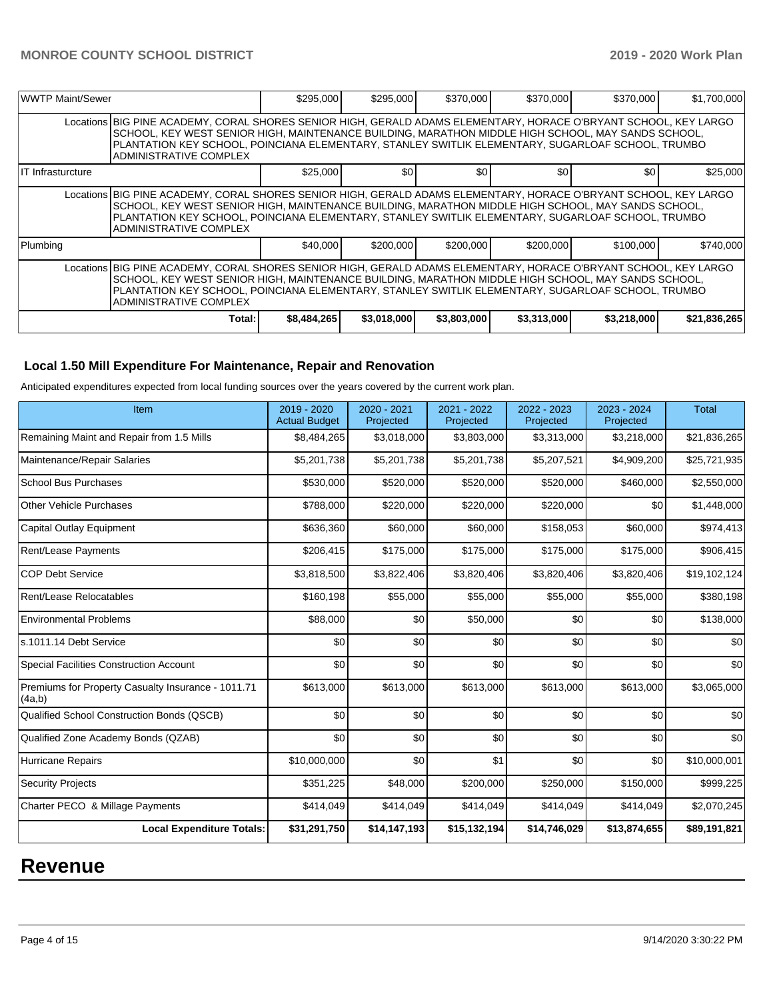| WWTP Maint/Sewer  |                                                                                                                                                                                                                                                                                                                                                        | \$295,000   | \$295,000   | \$370,000        | \$370,000        | \$370,000   | \$1,700,000  |  |
|-------------------|--------------------------------------------------------------------------------------------------------------------------------------------------------------------------------------------------------------------------------------------------------------------------------------------------------------------------------------------------------|-------------|-------------|------------------|------------------|-------------|--------------|--|
|                   | Locations BIG PINE ACADEMY, CORAL SHORES SENIOR HIGH, GERALD ADAMS ELEMENTARY, HORACE O'BRYANT SCHOOL, KEY LARGO<br>SCHOOL, KEY WEST SENIOR HIGH, MAINTENANCE BUILDING, MARATHON MIDDLE HIGH SCHOOL, MAY SANDS SCHOOL,<br>PLANTATION KEY SCHOOL, POINCIANA ELEMENTARY, STANLEY SWITLIK ELEMENTARY, SUGARLOAF SCHOOL, TRUMBO<br>ADMINISTRATIVE COMPLEX  |             |             |                  |                  |             |              |  |
| IT Infrasturcture |                                                                                                                                                                                                                                                                                                                                                        | \$25,000    | \$0         | \$0 <sub>0</sub> | \$0 <sub>1</sub> | \$0         | \$25,000     |  |
|                   | Locations BIG PINE ACADEMY, CORAL SHORES SENIOR HIGH, GERALD ADAMS ELEMENTARY, HORACE O'BRYANT SCHOOL, KEY LARGO<br>SCHOOL, KEY WEST SENIOR HIGH, MAINTENANCE BUILDING, MARATHON MIDDLE HIGH SCHOOL, MAY SANDS SCHOOL,<br>PLANTATION KEY SCHOOL, POINCIANA ELEMENTARY, STANLEY SWITLIK ELEMENTARY, SUGARLOAF SCHOOL, TRUMBO<br>ADMINISTRATIVE COMPLEX  |             |             |                  |                  |             |              |  |
| Plumbing          |                                                                                                                                                                                                                                                                                                                                                        | \$40,000    | \$200,000   | \$200,000        | \$200,000        | \$100,000   | \$740,000    |  |
|                   | Locations BIG PINE ACADEMY, CORAL SHORES SENIOR HIGH, GERALD ADAMS ELEMENTARY, HORACE O'BRYANT SCHOOL, KEY LARGO<br>SCHOOL, KEY WEST SENIOR HIGH, MAINTENANCE BUILDING, MARATHON MIDDLE HIGH SCHOOL, MAY SANDS SCHOOL,<br>PLANTATION KEY SCHOOL, POINCIANA ELEMENTARY, STANLEY SWITLIK ELEMENTARY, SUGARLOAF SCHOOL, TRUMBO<br>IADMINISTRATIVE COMPLEX |             |             |                  |                  |             |              |  |
|                   | Total:                                                                                                                                                                                                                                                                                                                                                 | \$8,484,265 | \$3,018,000 | \$3,803,000      | \$3,313,000      | \$3,218,000 | \$21,836,265 |  |

# **Local 1.50 Mill Expenditure For Maintenance, Repair and Renovation**

Anticipated expenditures expected from local funding sources over the years covered by the current work plan.

| Item                                                         | 2019 - 2020<br><b>Actual Budget</b> | 2020 - 2021<br>Projected | 2021 - 2022<br>Projected | 2022 - 2023<br>Projected | 2023 - 2024<br>Projected | <b>Total</b> |
|--------------------------------------------------------------|-------------------------------------|--------------------------|--------------------------|--------------------------|--------------------------|--------------|
| Remaining Maint and Repair from 1.5 Mills                    | \$8,484,265                         | \$3,018,000              | \$3,803,000              | \$3,313,000              | \$3,218,000              | \$21,836,265 |
| Maintenance/Repair Salaries                                  | \$5,201,738                         | \$5,201,738              | \$5,201,738              | \$5,207,521              | \$4,909,200              | \$25,721,935 |
| <b>School Bus Purchases</b>                                  | \$530,000                           | \$520,000                | \$520,000                | \$520,000                | \$460,000                | \$2,550,000  |
| <b>Other Vehicle Purchases</b>                               | \$788,000                           | \$220,000                | \$220,000                | \$220,000                | \$0                      | \$1,448,000  |
| <b>Capital Outlay Equipment</b>                              | \$636,360                           | \$60,000                 | \$60,000                 | \$158,053                | \$60,000                 | \$974,413    |
| <b>Rent/Lease Payments</b>                                   | \$206,415                           | \$175,000                | \$175,000                | \$175,000                | \$175,000                | \$906,415    |
| <b>COP Debt Service</b>                                      | \$3,818,500                         | \$3,822,406              | \$3,820,406              | \$3,820,406              | \$3,820,406              | \$19,102,124 |
| Rent/Lease Relocatables                                      | \$160,198                           | \$55,000                 | \$55,000                 | \$55,000                 | \$55,000                 | \$380,198    |
| <b>Environmental Problems</b>                                | \$88,000                            | \$0                      | \$50,000                 | \$0                      | \$0                      | \$138,000    |
| s.1011.14 Debt Service                                       | \$0                                 | \$0                      | \$0                      | \$0                      | \$0                      | \$0          |
| Special Facilities Construction Account                      | \$0                                 | \$0                      | \$0                      | \$0                      | \$0                      | \$0          |
| Premiums for Property Casualty Insurance - 1011.71<br>(4a,b) | \$613,000                           | \$613,000                | \$613,000                | \$613,000                | \$613,000                | \$3,065,000  |
| Qualified School Construction Bonds (QSCB)                   | \$0                                 | \$0                      | \$0                      | \$0                      | \$0                      | \$0          |
| Qualified Zone Academy Bonds (QZAB)                          | \$0                                 | \$0                      | \$0                      | \$0                      | \$0                      | \$0          |
| <b>Hurricane Repairs</b>                                     | \$10,000,000                        | \$0                      | \$1                      | \$0                      | \$0                      | \$10,000,001 |
| <b>Security Projects</b>                                     | \$351,225                           | \$48,000                 | \$200,000                | \$250,000                | \$150,000                | \$999,225    |
| Charter PECO & Millage Payments                              | \$414,049                           | \$414,049                | \$414,049                | \$414,049                | \$414,049                | \$2,070,245  |
| <b>Local Expenditure Totals:</b>                             | \$31,291,750                        | \$14,147,193             | \$15,132,194             | \$14,746,029             | \$13,874,655             | \$89,191,821 |

# **Revenue**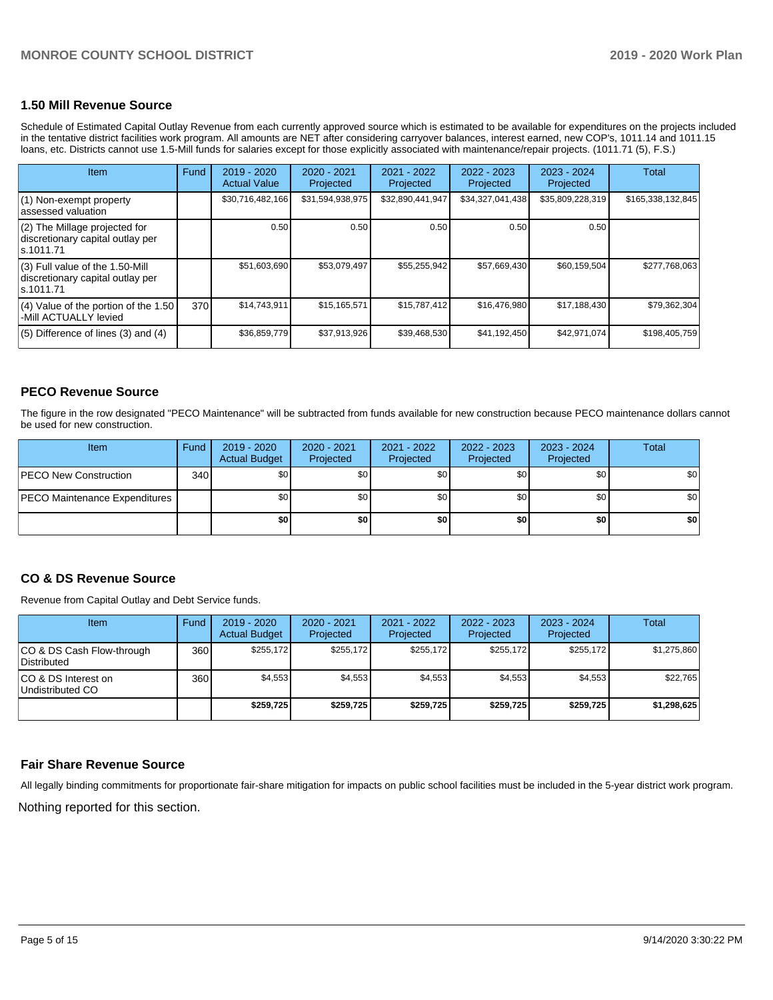# **1.50 Mill Revenue Source**

Schedule of Estimated Capital Outlay Revenue from each currently approved source which is estimated to be available for expenditures on the projects included in the tentative district facilities work program. All amounts are NET after considering carryover balances, interest earned, new COP's, 1011.14 and 1011.15 loans, etc. Districts cannot use 1.5-Mill funds for salaries except for those explicitly associated with maintenance/repair projects. (1011.71 (5), F.S.)

| Item                                                                                | Fund | $2019 - 2020$<br><b>Actual Value</b> | $2020 - 2021$<br>Projected | $2021 - 2022$<br>Projected | $2022 - 2023$<br>Projected | $2023 - 2024$<br>Projected | <b>Total</b>      |
|-------------------------------------------------------------------------------------|------|--------------------------------------|----------------------------|----------------------------|----------------------------|----------------------------|-------------------|
| (1) Non-exempt property<br>lassessed valuation                                      |      | \$30,716,482,166                     | \$31,594,938,975           | \$32,890,441,947           | \$34,327,041,438           | \$35,809,228,319           | \$165,338,132,845 |
| $(2)$ The Millage projected for<br>discretionary capital outlay per<br>ls.1011.71   |      | 0.50                                 | 0.50                       | 0.50                       | 0.50                       | 0.50                       |                   |
| $(3)$ Full value of the 1.50-Mill<br>discretionary capital outlay per<br>ls.1011.71 |      | \$51,603,690                         | \$53,079,497               | \$55,255,942               | \$57,669,430               | \$60,159,504               | \$277,768,063     |
| $(4)$ Value of the portion of the 1.50<br>-Mill ACTUALLY levied                     | 370  | \$14,743,911                         | \$15,165,571               | \$15,787,412               | \$16,476,980               | \$17,188,430               | \$79,362,304      |
| $(5)$ Difference of lines $(3)$ and $(4)$                                           |      | \$36,859,779                         | \$37,913,926               | \$39,468,530               | \$41,192,450               | \$42,971,074               | \$198,405,759     |

# **PECO Revenue Source**

The figure in the row designated "PECO Maintenance" will be subtracted from funds available for new construction because PECO maintenance dollars cannot be used for new construction.

| Item                                 | Fund             | 2019 - 2020<br><b>Actual Budget</b> | $2020 - 2021$<br>Projected | 2021 - 2022<br>Projected | $2022 - 2023$<br>Projected | 2023 - 2024<br>Projected | Total |
|--------------------------------------|------------------|-------------------------------------|----------------------------|--------------------------|----------------------------|--------------------------|-------|
| <b>PECO New Construction</b>         | 340 <sup>1</sup> | \$0                                 | \$0                        | \$0                      | \$0                        | \$0                      | \$0   |
| <b>PECO Maintenance Expenditures</b> |                  | \$0 I                               | \$0 <sub>1</sub>           | \$0                      | \$0                        | \$0 <sub>1</sub>         | \$0   |
|                                      |                  | \$0                                 | \$0                        | \$0                      | \$0                        | \$0                      | \$0   |

# **CO & DS Revenue Source**

Revenue from Capital Outlay and Debt Service funds.

| Item                                      | Fund  | $2019 - 2020$<br><b>Actual Budget</b> | 2020 - 2021<br>Projected | 2021 - 2022<br>Projected | 2022 - 2023<br>Projected | $2023 - 2024$<br>Projected | Total       |
|-------------------------------------------|-------|---------------------------------------|--------------------------|--------------------------|--------------------------|----------------------------|-------------|
| ICO & DS Cash Flow-through<br>Distributed | 360 l | \$255.172                             | \$255.172                | \$255.172                | \$255.172                | \$255.172                  | \$1,275,860 |
| ICO & DS Interest on<br>Undistributed CO  | 360 l | \$4,553                               | \$4,553                  | \$4,553                  | \$4,553                  | \$4,553                    | \$22,765    |
|                                           |       | \$259,725                             | \$259.725                | \$259.725                | \$259.725                | \$259.725                  | \$1,298,625 |

## **Fair Share Revenue Source**

Nothing reported for this section. All legally binding commitments for proportionate fair-share mitigation for impacts on public school facilities must be included in the 5-year district work program.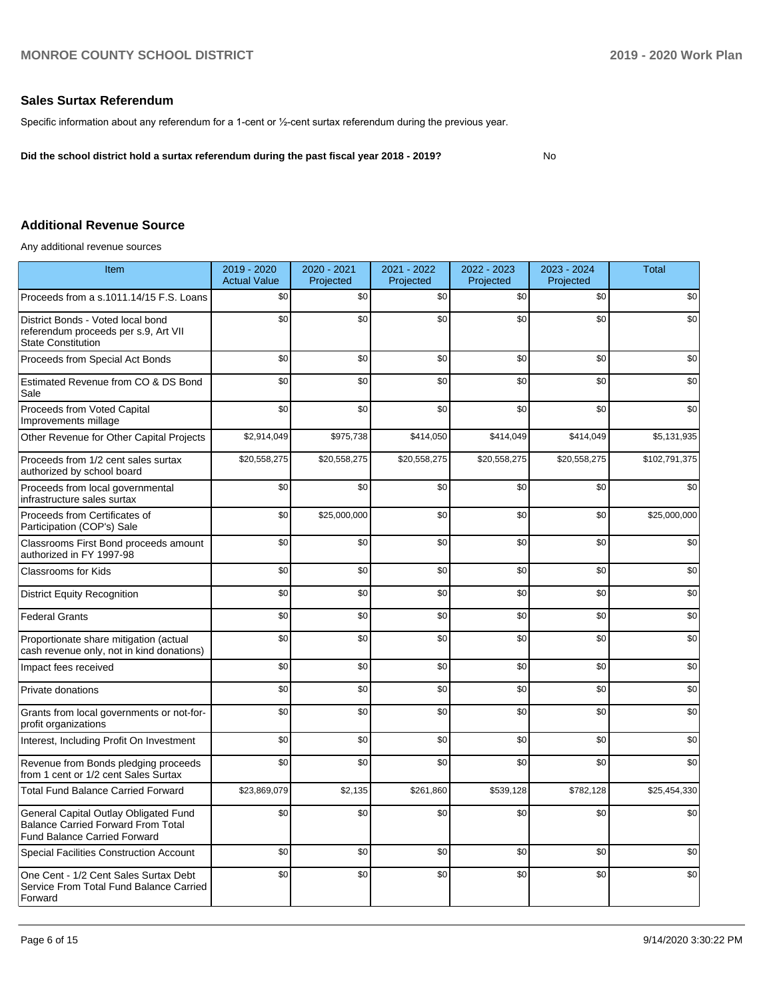# **Sales Surtax Referendum**

Specific information about any referendum for a 1-cent or ½-cent surtax referendum during the previous year.

**Did the school district hold a surtax referendum during the past fiscal year 2018 - 2019?**

No

# **Additional Revenue Source**

Any additional revenue sources

| <b>Item</b>                                                                                                               | 2019 - 2020<br><b>Actual Value</b> | 2020 - 2021<br>Projected | 2021 - 2022<br>Projected | 2022 - 2023<br>Projected | 2023 - 2024<br>Projected | <b>Total</b>  |
|---------------------------------------------------------------------------------------------------------------------------|------------------------------------|--------------------------|--------------------------|--------------------------|--------------------------|---------------|
| Proceeds from a s.1011.14/15 F.S. Loans                                                                                   | \$0                                | \$0                      | \$0                      | \$0                      | \$0                      | \$0           |
| District Bonds - Voted local bond<br>referendum proceeds per s.9, Art VII<br><b>State Constitution</b>                    | \$0                                | \$0                      | \$0                      | \$0                      | \$0                      | \$0           |
| Proceeds from Special Act Bonds                                                                                           | \$0                                | \$0                      | \$0                      | \$0                      | \$0                      | \$0           |
| Estimated Revenue from CO & DS Bond<br>Sale                                                                               | \$0                                | \$0                      | \$0                      | \$0                      | \$0                      | \$0           |
| Proceeds from Voted Capital<br>Improvements millage                                                                       | \$0                                | \$0                      | \$0                      | \$0                      | \$0                      | \$0           |
| Other Revenue for Other Capital Projects                                                                                  | \$2,914,049                        | \$975,738                | \$414,050                | \$414,049                | \$414,049                | \$5,131,935   |
| Proceeds from 1/2 cent sales surtax<br>authorized by school board                                                         | \$20,558,275                       | \$20,558,275             | \$20,558,275             | \$20,558,275             | \$20,558,275             | \$102,791,375 |
| Proceeds from local governmental<br>infrastructure sales surtax                                                           | \$0                                | \$0                      | \$0                      | \$0                      | \$0                      | \$0           |
| Proceeds from Certificates of<br>Participation (COP's) Sale                                                               | \$0                                | \$25,000,000             | \$0                      | \$0                      | \$0                      | \$25,000,000  |
| Classrooms First Bond proceeds amount<br>authorized in FY 1997-98                                                         | \$0                                | \$0                      | \$0                      | \$0                      | \$0                      | \$0           |
| Classrooms for Kids                                                                                                       | \$0                                | \$0                      | \$0                      | \$0                      | \$0                      | \$0           |
| <b>District Equity Recognition</b>                                                                                        | \$0                                | \$0                      | \$0                      | \$0                      | \$0                      | \$0           |
| <b>Federal Grants</b>                                                                                                     | \$0                                | \$0                      | \$0                      | \$0                      | \$0                      | \$0           |
| Proportionate share mitigation (actual<br>cash revenue only, not in kind donations)                                       | \$0                                | \$0                      | \$0                      | \$0                      | \$0                      | \$0           |
| Impact fees received                                                                                                      | \$0                                | \$0                      | \$0                      | \$0                      | \$0                      | \$0           |
| Private donations                                                                                                         | \$0                                | \$0                      | \$0                      | \$0                      | \$0                      | \$0           |
| Grants from local governments or not-for-<br>profit organizations                                                         | \$0                                | \$0                      | \$0                      | \$0                      | \$0                      | \$0           |
| Interest, Including Profit On Investment                                                                                  | \$0                                | \$0                      | \$0                      | \$0                      | \$0                      | \$0           |
| Revenue from Bonds pledging proceeds<br>from 1 cent or 1/2 cent Sales Surtax                                              | \$0                                | \$0                      | \$0                      | \$0                      | \$0                      | \$0           |
| <b>Total Fund Balance Carried Forward</b>                                                                                 | \$23,869,079                       | \$2,135                  | \$261,860                | \$539,128                | \$782,128                | \$25,454,330  |
| General Capital Outlay Obligated Fund<br><b>Balance Carried Forward From Total</b><br><b>Fund Balance Carried Forward</b> | \$0                                | \$0                      | \$0                      | \$0                      | \$0                      | \$0           |
| <b>Special Facilities Construction Account</b>                                                                            | \$0                                | \$0                      | \$0                      | \$0                      | \$0                      | \$0           |
| One Cent - 1/2 Cent Sales Surtax Debt<br>Service From Total Fund Balance Carried<br>Forward                               | \$0                                | \$0                      | \$0                      | \$0                      | \$0                      | \$0           |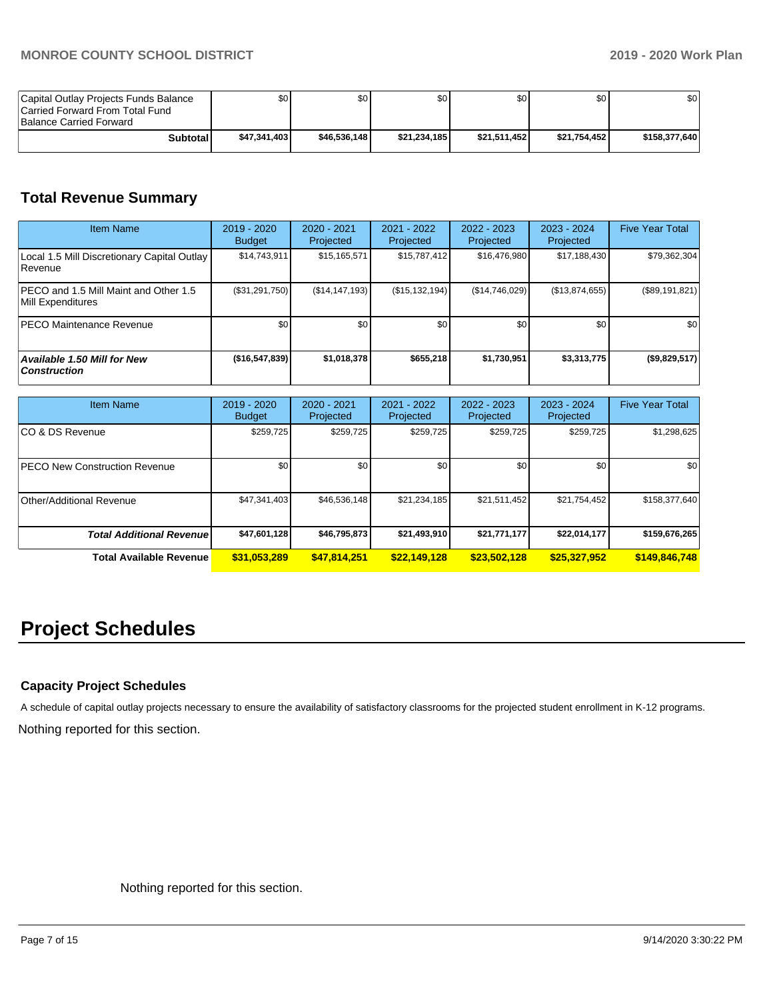| Capital Outlay Projects Funds Balance<br>Carried Forward From Total Fund<br>Balance Carried Forward | ا 30         | \$0          | \$0          | SO I         | \$0          | ا 30          |
|-----------------------------------------------------------------------------------------------------|--------------|--------------|--------------|--------------|--------------|---------------|
| <b>Subtotal</b>                                                                                     | \$47.341.403 | \$46.536.148 | \$21.234.185 | \$21.511.452 | \$21.754.452 | \$158,377,640 |

# **Total Revenue Summary**

| <b>Item Name</b>                                           | 2019 - 2020<br><b>Budget</b> | $2020 - 2021$<br>Projected | $2021 - 2022$<br>Projected | $2022 - 2023$<br>Projected | $2023 - 2024$<br>Projected | <b>Five Year Total</b> |
|------------------------------------------------------------|------------------------------|----------------------------|----------------------------|----------------------------|----------------------------|------------------------|
| Local 1.5 Mill Discretionary Capital Outlay<br>l Revenue   | \$14,743,911                 | \$15,165,571               | \$15,787,412               | \$16,476,980               | \$17,188,430               | \$79,362,304           |
| PECO and 1.5 Mill Maint and Other 1.5<br>Mill Expenditures | (\$31,291,750)               | (S14, 147, 193)            | (S15, 132, 194)            | (\$14,746,029)             | (\$13,874,655)             | (\$89,191,821)         |
| <b>PECO Maintenance Revenue</b>                            | \$0                          | \$0                        | \$0                        | \$0                        | \$0                        | \$0                    |
| <b>Available 1.50 Mill for New</b><br><b>Construction</b>  | (\$16,547,839)               | \$1,018,378                | \$655,218                  | \$1,730,951                | \$3,313,775                | $($ \$9,829,517) $ $   |

| <b>Item Name</b>                      | 2019 - 2020<br><b>Budget</b> | $2020 - 2021$<br>Projected | 2021 - 2022<br>Projected | 2022 - 2023<br>Projected | 2023 - 2024<br>Projected | <b>Five Year Total</b> |
|---------------------------------------|------------------------------|----------------------------|--------------------------|--------------------------|--------------------------|------------------------|
| ICO & DS Revenue                      | \$259,725                    | \$259,725                  | \$259,725                | \$259,725                | \$259,725                | \$1,298,625            |
| <b>IPECO New Construction Revenue</b> | \$0                          | \$0                        | \$0                      | \$0                      | \$0                      | \$0                    |
| Other/Additional Revenue              | \$47,341,403                 | \$46,536,148               | \$21,234,185             | \$21,511,452             | \$21,754,452             | \$158,377,640          |
| <b>Total Additional Revenue</b>       | \$47,601,128                 | \$46,795,873               | \$21,493,910             | \$21,771,177             | \$22,014,177             | \$159,676,265          |
| <b>Total Available Revenue</b>        | \$31,053,289                 | \$47,814,251               | \$22,149,128             | \$23,502,128             | \$25,327,952             | \$149,846,748          |

# **Project Schedules**

# **Capacity Project Schedules**

Nothing reported for this section. A schedule of capital outlay projects necessary to ensure the availability of satisfactory classrooms for the projected student enrollment in K-12 programs.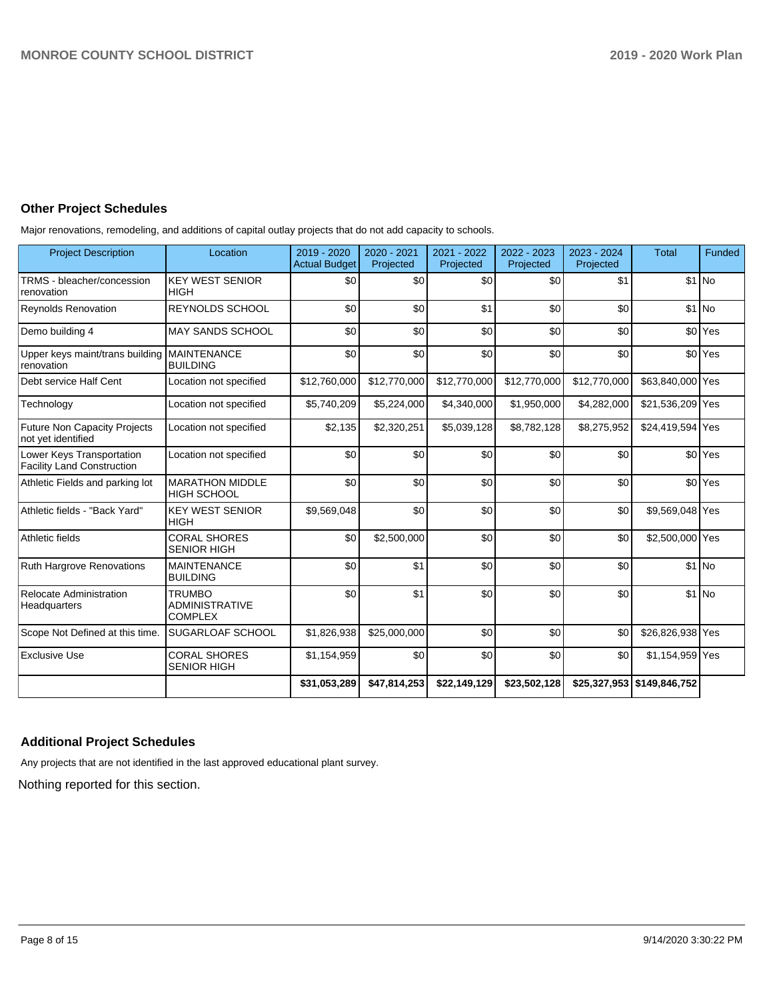# **Other Project Schedules**

Major renovations, remodeling, and additions of capital outlay projects that do not add capacity to schools.

| <b>Project Description</b>                                     | Location                                                 | 2019 - 2020<br><b>Actual Budget</b> | 2020 - 2021<br>Projected | 2021 - 2022<br>Projected | 2022 - 2023<br>Projected | 2023 - 2024<br>Projected | <b>Total</b>                 | <b>Funded</b>      |
|----------------------------------------------------------------|----------------------------------------------------------|-------------------------------------|--------------------------|--------------------------|--------------------------|--------------------------|------------------------------|--------------------|
| TRMS - bleacher/concession<br>renovation                       | <b>KEY WEST SENIOR</b><br><b>HIGH</b>                    | \$0                                 | \$0                      | \$0                      | \$0                      | \$1                      |                              | $$1$ No            |
| <b>Reynolds Renovation</b>                                     | <b>REYNOLDS SCHOOL</b>                                   | \$0                                 | \$0                      | \$1                      | \$0                      | \$0                      |                              | $$1$ No            |
| Demo building 4                                                | <b>MAY SANDS SCHOOL</b>                                  | \$0                                 | \$0                      | \$0                      | \$0                      | \$0                      |                              | \$0 Yes            |
| Upper keys maint/trans building   MAINTENANCE<br>renovation    | <b>BUILDING</b>                                          | \$0                                 | \$0                      | \$0                      | \$0                      | \$0                      |                              | \$0 <sup>Yes</sup> |
| Debt service Half Cent                                         | Location not specified                                   | \$12,760,000                        | \$12,770,000             | \$12,770,000             | \$12,770,000             | \$12,770,000             | \$63,840,000 Yes             |                    |
| Technology                                                     | Location not specified                                   | \$5,740,209                         | \$5,224,000              | \$4,340,000              | \$1,950,000              | \$4,282,000              | \$21,536,209 Yes             |                    |
| <b>Future Non Capacity Projects</b><br>not yet identified      | Location not specified                                   | \$2,135                             | \$2,320,251              | \$5,039,128              | \$8,782,128              | \$8,275,952              | \$24,419,594 Yes             |                    |
| Lower Keys Transportation<br><b>Facility Land Construction</b> | Location not specified                                   | \$0                                 | \$0                      | \$0                      | \$0                      | \$0                      |                              | \$0 <sup>Yes</sup> |
| Athletic Fields and parking lot                                | <b>MARATHON MIDDLE</b><br><b>HIGH SCHOOL</b>             | \$0                                 | \$0                      | \$0                      | \$0                      | \$0                      |                              | \$0 <sup>Yes</sup> |
| Athletic fields - "Back Yard"                                  | <b>KEY WEST SENIOR</b><br><b>HIGH</b>                    | \$9,569,048                         | \$0                      | \$0                      | \$0                      | \$0                      | \$9,569,048 Yes              |                    |
| Athletic fields                                                | <b>CORAL SHORES</b><br><b>SENIOR HIGH</b>                | \$0                                 | \$2,500,000              | \$0                      | \$0                      | \$0                      | \$2,500,000 Yes              |                    |
| Ruth Hargrove Renovations                                      | <b>MAINTENANCE</b><br><b>BUILDING</b>                    | \$0                                 | \$1                      | \$0                      | \$0                      | \$0                      |                              | $$1$ No            |
| Relocate Administration<br>Headquarters                        | <b>TRUMBO</b><br><b>ADMINISTRATIVE</b><br><b>COMPLEX</b> | \$0                                 | \$1                      | \$0                      | \$0                      | \$0                      |                              | $$1$ No            |
| Scope Not Defined at this time.                                | SUGARLOAF SCHOOL                                         | \$1,826,938                         | \$25,000,000             | \$0                      | \$0                      | \$0                      | \$26,826,938 Yes             |                    |
| <b>Exclusive Use</b>                                           | <b>CORAL SHORES</b><br><b>SENIOR HIGH</b>                | \$1,154,959                         | \$0                      | \$0                      | \$0                      | \$0                      | \$1,154,959 Yes              |                    |
|                                                                |                                                          | \$31,053,289                        | \$47,814,253             | \$22,149,129             | \$23,502,128             |                          | \$25,327,953   \$149,846,752 |                    |

# **Additional Project Schedules**

Any projects that are not identified in the last approved educational plant survey.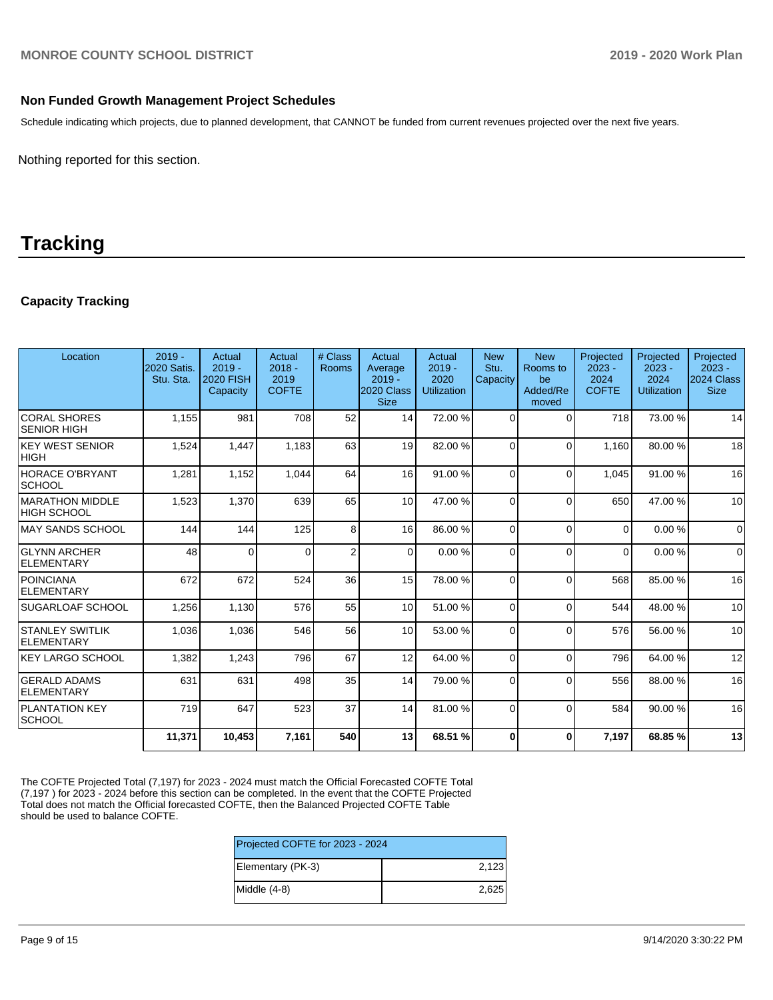# **Non Funded Growth Management Project Schedules**

Schedule indicating which projects, due to planned development, that CANNOT be funded from current revenues projected over the next five years.

Nothing reported for this section.

# **Tracking**

# **Capacity Tracking**

| Location                                   | $2019 -$<br>2020 Satis.<br>Stu. Sta. | Actual<br>$2019 -$<br><b>2020 FISH</b><br>Capacity | Actual<br>$2018 -$<br>2019<br><b>COFTE</b> | # Class<br>Rooms | Actual<br>Average<br>$2019 -$<br>2020 Class<br><b>Size</b> | Actual<br>$2019 -$<br>2020<br><b>Utilization</b> | <b>New</b><br>Stu.<br>Capacity | <b>New</b><br>Rooms to<br>be<br>Added/Re<br>moved | Projected<br>$2023 -$<br>2024<br><b>COFTE</b> | Projected<br>$2023 -$<br>2024<br><b>Utilization</b> | Projected<br>$2023 -$<br>2024 Class<br><b>Size</b> |
|--------------------------------------------|--------------------------------------|----------------------------------------------------|--------------------------------------------|------------------|------------------------------------------------------------|--------------------------------------------------|--------------------------------|---------------------------------------------------|-----------------------------------------------|-----------------------------------------------------|----------------------------------------------------|
| <b>CORAL SHORES</b><br><b>ISENIOR HIGH</b> | 1,155                                | 981                                                | 708                                        | 52               | 14                                                         | 72.00 %                                          | $\Omega$                       | $\Omega$                                          | 718                                           | 73.00 %                                             | 14                                                 |
| <b>IKEY WEST SENIOR</b><br> HIGH           | 1,524                                | 1,447                                              | 1,183                                      | 63               | 19                                                         | 82.00 %                                          | $\Omega$                       | $\Omega$                                          | 1,160                                         | 80.00 %                                             | 18                                                 |
| HORACE O'BRYANT<br> SCHOOL                 | 1,281                                | 1,152                                              | 1,044                                      | 64               | 16                                                         | 91.00 %                                          | $\Omega$                       | $\Omega$                                          | 1,045                                         | 91.00 %                                             | 16                                                 |
| MARATHON MIDDLE<br><b>HIGH SCHOOL</b>      | 1,523                                | 1,370                                              | 639                                        | 65               | 10 <sup>1</sup>                                            | 47.00 %                                          | $\Omega$                       | $\Omega$                                          | 650                                           | 47.00 %                                             | 10                                                 |
| MAY SANDS SCHOOL                           | 144                                  | 144                                                | 125                                        | 8                | 16                                                         | 86.00 %                                          | $\Omega$                       | $\Omega$                                          | $\Omega$                                      | 0.00%                                               | $\Omega$                                           |
| <b>GLYNN ARCHER</b><br>ELEMENTARY          | 48                                   | $\Omega$                                           | $\Omega$                                   | $\overline{2}$   | $\Omega$                                                   | 0.00%                                            | $\Omega$                       | $\Omega$                                          | $\Omega$                                      | 0.00%                                               | $\mathbf 0$                                        |
| <b>POINCIANA</b><br>ELEMENTARY             | 672                                  | 672                                                | 524                                        | 36               | 15                                                         | 78.00 %                                          | $\Omega$                       | $\Omega$                                          | 568                                           | 85.00 %                                             | 16                                                 |
| <b>SUGARLOAF SCHOOL</b>                    | 1,256                                | 1,130                                              | 576                                        | 55               | 10                                                         | 51.00 %                                          | $\Omega$                       | $\Omega$                                          | 544                                           | 48.00 %                                             | 10                                                 |
| <b>STANLEY SWITLIK</b><br>ELEMENTARY       | 1,036                                | 1.036                                              | 546                                        | 56               | 10                                                         | 53.00 %                                          | $\Omega$                       | $\Omega$                                          | 576                                           | 56.00 %                                             | 10                                                 |
| <b>KEY LARGO SCHOOL</b>                    | 1,382                                | 1,243                                              | 796                                        | 67               | 12                                                         | 64.00 %                                          | $\Omega$                       | $\Omega$                                          | 796                                           | 64.00%                                              | 12                                                 |
| <b>GERALD ADAMS</b><br>ELEMENTARY          | 631                                  | 631                                                | 498                                        | 35               | 14                                                         | 79.00 %                                          | $\Omega$                       | $\Omega$                                          | 556                                           | 88.00 %                                             | 16                                                 |
| <b>PLANTATION KEY</b><br> SCHOOL           | 719                                  | 647                                                | 523                                        | 37               | 14                                                         | 81.00%                                           | $\Omega$                       | $\Omega$                                          | 584                                           | 90.00 %                                             | 16                                                 |
|                                            | 11,371                               | 10,453                                             | 7,161                                      | 540              | 13                                                         | 68.51 %                                          | $\Omega$                       | $\bf{0}$                                          | 7.197                                         | 68.85%                                              | 13                                                 |

The COFTE Projected Total (7,197) for 2023 - 2024 must match the Official Forecasted COFTE Total (7,197 ) for 2023 - 2024 before this section can be completed. In the event that the COFTE Projected Total does not match the Official forecasted COFTE, then the Balanced Projected COFTE Table should be used to balance COFTE.

| Projected COFTE for 2023 - 2024 |       |  |  |
|---------------------------------|-------|--|--|
| Elementary (PK-3)               | 2.123 |  |  |
| Middle (4-8)                    | 2.625 |  |  |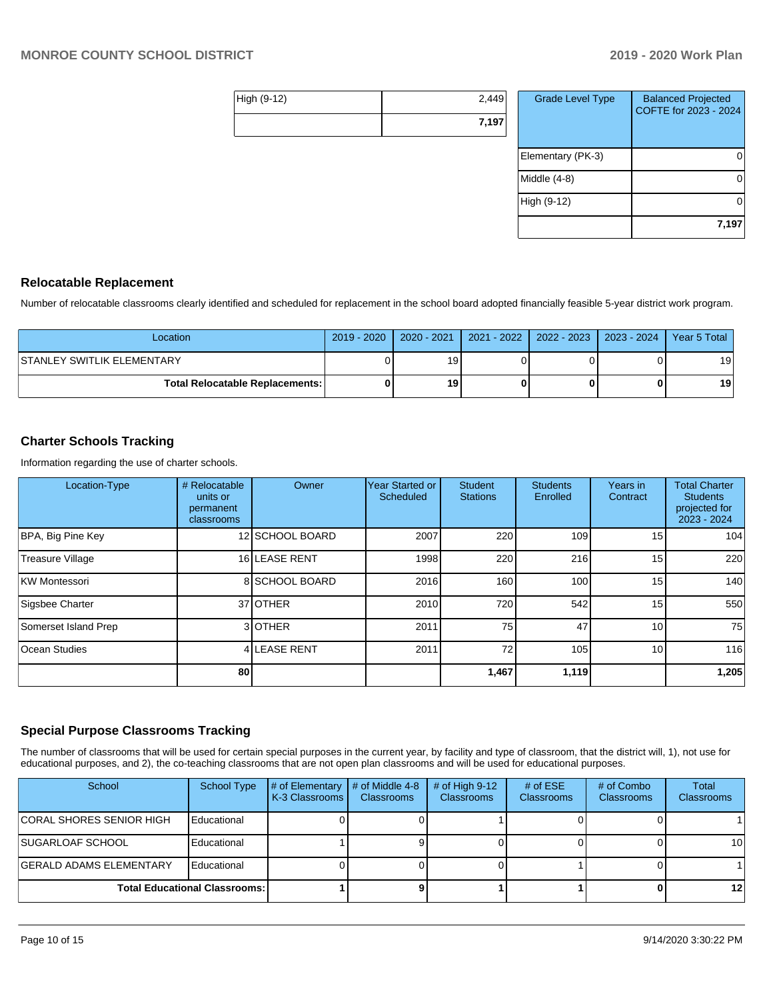| High (9-12) | 2,449 |
|-------------|-------|
|             | 7,197 |

| <b>Grade Level Type</b> | <b>Balanced Projected</b><br>COFTE for 2023 - 2024 |
|-------------------------|----------------------------------------------------|
| Elementary (PK-3)       |                                                    |
| Middle $(4-8)$          |                                                    |
| High (9-12)             |                                                    |
|                         | 7,197                                              |

## **Relocatable Replacement**

Number of relocatable classrooms clearly identified and scheduled for replacement in the school board adopted financially feasible 5-year district work program.

| Location                                 | 2019 - 2020   2020 - 2021 | 2021 - 2022   2022 - 2023   2023 - 2024 | Year 5 Total |
|------------------------------------------|---------------------------|-----------------------------------------|--------------|
| ISTANLEY SWITLIK ELEMENTARY              |                           |                                         | 19           |
| <b>Total Relocatable Replacements: I</b> | 19                        |                                         | 19           |

# **Charter Schools Tracking**

Information regarding the use of charter schools.

| Location-Type           | # Relocatable<br>units or<br>permanent<br>classrooms | Owner           | <b>Year Started or</b><br>Scheduled | <b>Student</b><br><b>Stations</b> | <b>Students</b><br>Enrolled | Years in<br>Contract | <b>Total Charter</b><br><b>Students</b><br>projected for<br>2023 - 2024 |
|-------------------------|------------------------------------------------------|-----------------|-------------------------------------|-----------------------------------|-----------------------------|----------------------|-------------------------------------------------------------------------|
| BPA, Big Pine Key       |                                                      | 12 SCHOOL BOARD | 2007                                | 220                               | 109                         | 15 <sup>1</sup>      | 104                                                                     |
| <b>Treasure Village</b> |                                                      | 16 LEASE RENT   | 1998                                | 220                               | 216                         | 15                   | 220                                                                     |
| KW Montessori           |                                                      | 8 SCHOOL BOARD  | 2016                                | 160                               | 100                         | 15                   | 140                                                                     |
| Sigsbee Charter         |                                                      | 37 OTHER        | 2010                                | 720                               | 542                         | 15                   | 550                                                                     |
| Somerset Island Prep    |                                                      | 3 OTHER         | 2011                                | 75                                | 47                          | 10 <sup>1</sup>      | 75                                                                      |
| Ocean Studies           |                                                      | 4 LEASE RENT    | 2011                                | 72                                | 105                         | 10 <sup>1</sup>      | 116                                                                     |
|                         | 80                                                   |                 |                                     | 1,467                             | 1,119                       |                      | 1,205                                                                   |

## **Special Purpose Classrooms Tracking**

The number of classrooms that will be used for certain special purposes in the current year, by facility and type of classroom, that the district will, 1), not use for educational purposes, and 2), the co-teaching classrooms that are not open plan classrooms and will be used for educational purposes.

| School                          | School Type                          | # of Elementary<br>K-3 Classrooms | # of Middle 4-8<br><b>Classrooms</b> | # of High $9-12$<br><b>Classrooms</b> | # of $ESE$<br>Classrooms | # of Combo<br><b>Classrooms</b> | <b>Total</b><br>Classrooms |
|---------------------------------|--------------------------------------|-----------------------------------|--------------------------------------|---------------------------------------|--------------------------|---------------------------------|----------------------------|
| <b>CORAL SHORES SENIOR HIGH</b> | Educational                          |                                   |                                      |                                       |                          |                                 |                            |
| <b>ISUGARLOAF SCHOOL</b>        | Educational                          |                                   |                                      |                                       |                          |                                 | 10                         |
| <b>GERALD ADAMS ELEMENTARY</b>  | Educational                          |                                   |                                      |                                       |                          |                                 |                            |
|                                 | <b>Total Educational Classrooms:</b> |                                   |                                      |                                       |                          |                                 | $12 \,$                    |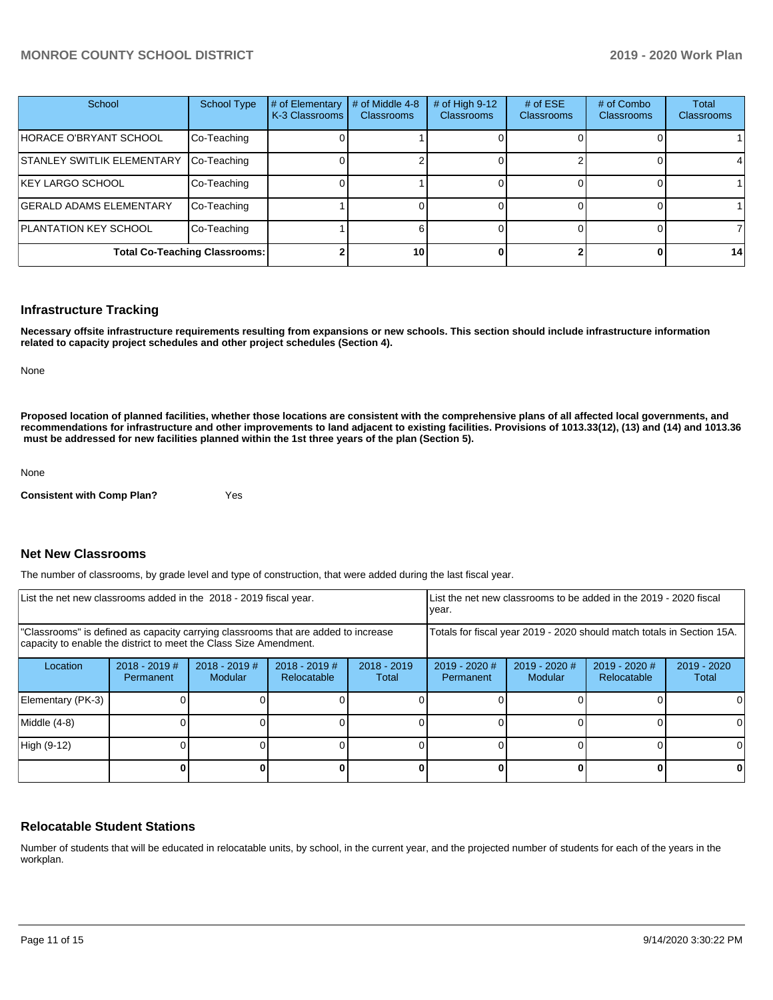| School                            | <b>School Type</b>                   | # of Elementary<br>K-3 Classrooms | # of Middle 4-8<br><b>Classrooms</b> | # of High $9-12$<br><b>Classrooms</b> | # of $ESE$<br><b>Classrooms</b> | # of Combo<br><b>Classrooms</b> | Total<br><b>Classrooms</b> |
|-----------------------------------|--------------------------------------|-----------------------------------|--------------------------------------|---------------------------------------|---------------------------------|---------------------------------|----------------------------|
| HORACE O'BRYANT SCHOOL            | Co-Teaching                          |                                   |                                      |                                       |                                 |                                 |                            |
| <b>STANLEY SWITLIK ELEMENTARY</b> | Co-Teaching                          |                                   |                                      |                                       |                                 |                                 |                            |
| <b>KEY LARGO SCHOOL</b>           | Co-Teaching                          |                                   |                                      |                                       |                                 |                                 |                            |
| <b>GERALD ADAMS ELEMENTARY</b>    | Co-Teaching                          |                                   |                                      |                                       |                                 |                                 |                            |
| <b>PLANTATION KEY SCHOOL</b>      | Co-Teaching                          |                                   |                                      |                                       |                                 |                                 | 7                          |
|                                   | <b>Total Co-Teaching Classrooms:</b> |                                   | 10                                   |                                       |                                 |                                 | 14                         |

### **Infrastructure Tracking**

**Necessary offsite infrastructure requirements resulting from expansions or new schools. This section should include infrastructure information related to capacity project schedules and other project schedules (Section 4).** 

None

**Proposed location of planned facilities, whether those locations are consistent with the comprehensive plans of all affected local governments, and recommendations for infrastructure and other improvements to land adjacent to existing facilities. Provisions of 1013.33(12), (13) and (14) and 1013.36 must be addressed for new facilities planned within the 1st three years of the plan (Section 5).** 

None

**Consistent with Comp Plan?** Yes

### **Net New Classrooms**

The number of classrooms, by grade level and type of construction, that were added during the last fiscal year.

| List the net new classrooms added in the 2018 - 2019 fiscal year.                                                                                       |                              |                                   |                                |                        | List the net new classrooms to be added in the 2019 - 2020 fiscal<br>year. |                                   |                                |                        |
|---------------------------------------------------------------------------------------------------------------------------------------------------------|------------------------------|-----------------------------------|--------------------------------|------------------------|----------------------------------------------------------------------------|-----------------------------------|--------------------------------|------------------------|
| "Classrooms" is defined as capacity carrying classrooms that are added to increase<br>capacity to enable the district to meet the Class Size Amendment. |                              |                                   |                                |                        | Totals for fiscal year 2019 - 2020 should match totals in Section 15A.     |                                   |                                |                        |
| Location                                                                                                                                                | $2018 - 2019$ #<br>Permanent | $2018 - 2019$ #<br><b>Modular</b> | $2018 - 2019$ #<br>Relocatable | $2018 - 2019$<br>Total | 2019 - 2020 #<br>Permanent                                                 | $2019 - 2020$ #<br><b>Modular</b> | $2019 - 2020$ #<br>Relocatable | $2019 - 2020$<br>Total |
| Elementary (PK-3)                                                                                                                                       |                              |                                   |                                |                        |                                                                            |                                   |                                |                        |
| Middle (4-8)                                                                                                                                            |                              |                                   |                                |                        |                                                                            |                                   |                                |                        |
| High (9-12)                                                                                                                                             |                              |                                   |                                |                        |                                                                            |                                   |                                | ΩI                     |
|                                                                                                                                                         |                              |                                   |                                |                        |                                                                            |                                   |                                |                        |

## **Relocatable Student Stations**

Number of students that will be educated in relocatable units, by school, in the current year, and the projected number of students for each of the years in the workplan.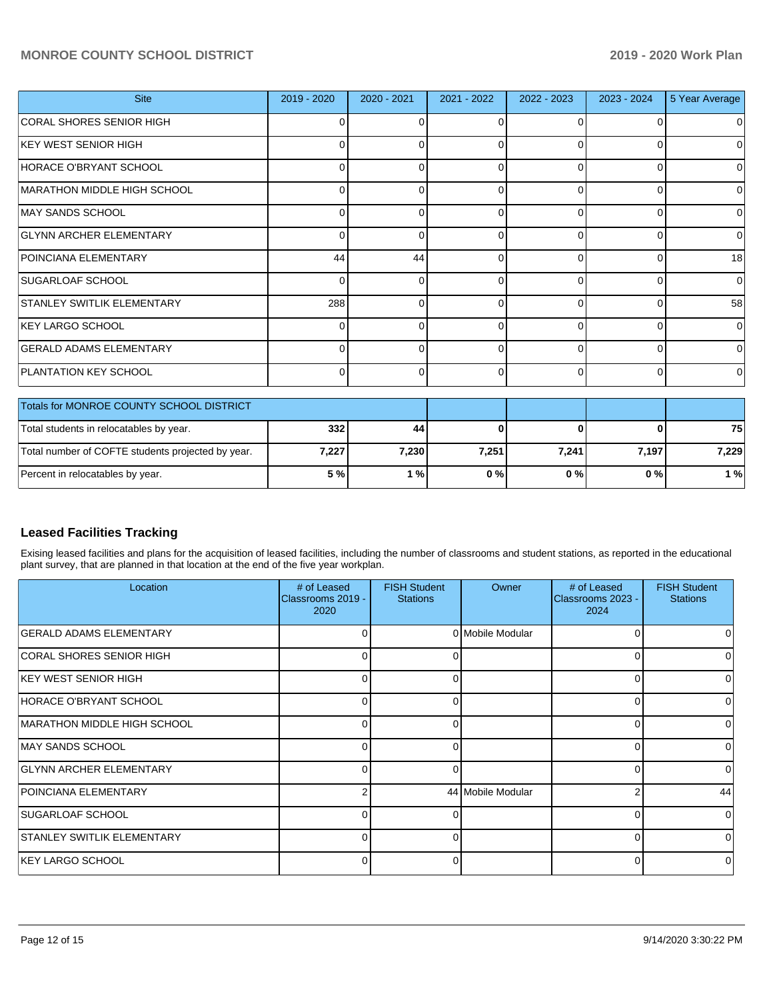# **MONROE COUNTY SCHOOL DISTRICT 2019 - 2020 Work Plan**

| <b>Site</b>                              | 2019 - 2020 | 2020 - 2021 | 2021 - 2022 | 2022 - 2023 | 2023 - 2024 | 5 Year Average |
|------------------------------------------|-------------|-------------|-------------|-------------|-------------|----------------|
| CORAL SHORES SENIOR HIGH                 |             |             | U           |             |             | $\Omega$       |
| KEY WEST SENIOR HIGH                     | 0           |             | 0           | $\Omega$    | 0           | $\Omega$       |
| HORACE O'BRYANT SCHOOL                   | 0           |             | 0           | $\Omega$    |             | $\Omega$       |
| MARATHON MIDDLE HIGH SCHOOL              |             |             | $\Omega$    | ∩           |             | 0              |
| MAY SANDS SCHOOL                         | O           |             | $\Omega$    | $\Omega$    | ŋ           | $\Omega$       |
| <b>GLYNN ARCHER ELEMENTARY</b>           | 0           |             | $\Omega$    | $\Omega$    |             | $\Omega$       |
| POINCIANA ELEMENTARY                     | 44          | 44          | $\Omega$    | ∩           |             | 18             |
| SUGARLOAF SCHOOL                         | $\Omega$    |             | $\Omega$    | $\Omega$    | $\Omega$    | $\Omega$       |
| <b>STANLEY SWITLIK ELEMENTARY</b>        | 288         |             | $\Omega$    | $\Omega$    |             | 58             |
| KEY LARGO SCHOOL                         |             |             | $\Omega$    | $\Omega$    |             | $\Omega$       |
| <b>GERALD ADAMS ELEMENTARY</b>           | O           |             | $\Omega$    | $\Omega$    | n           | $\Omega$       |
| <b>PLANTATION KEY SCHOOL</b>             | 0           |             | $\Omega$    | $\Omega$    | 0           | $\Omega$       |
| Totals for MONROE COUNTY SCHOOL DISTRICT |             |             |             |             |             |                |

| Totals for MONROE COUNTY SCHOOL DISTRICT          |       |       |       |       |       |       |
|---------------------------------------------------|-------|-------|-------|-------|-------|-------|
| Total students in relocatables by year.           | 332   | 44    |       |       |       | 75    |
| Total number of COFTE students projected by year. | 7,227 | 7.230 | 7.251 | 7.241 | 7.197 | 7.229 |
| Percent in relocatables by year.                  | 5 %l  | %     | 0%    | 0%    | 0 % I | 1 %   |

# **Leased Facilities Tracking**

Exising leased facilities and plans for the acquisition of leased facilities, including the number of classrooms and student stations, as reported in the educational plant survey, that are planned in that location at the end of the five year workplan.

| Location                          | # of Leased<br>Classrooms 2019 -<br>2020 | <b>FISH Student</b><br><b>Stations</b> | Owner             | # of Leased<br>Classrooms 2023 -<br>2024 | <b>FISH Student</b><br><b>Stations</b> |
|-----------------------------------|------------------------------------------|----------------------------------------|-------------------|------------------------------------------|----------------------------------------|
| <b>GERALD ADAMS ELEMENTARY</b>    |                                          |                                        | 0 Mobile Modular  |                                          |                                        |
| CORAL SHORES SENIOR HIGH          |                                          | 0                                      |                   |                                          |                                        |
| IKEY WEST SENIOR HIGH             |                                          |                                        |                   |                                          |                                        |
| HORACE O'BRYANT SCHOOL            |                                          | n                                      |                   |                                          |                                        |
| MARATHON MIDDLE HIGH SCHOOL       |                                          | r                                      |                   |                                          | O                                      |
| MAY SANDS SCHOOL                  | <sup>0</sup>                             | $\Omega$                               |                   | ∩                                        | 0                                      |
| <b>GLYNN ARCHER ELEMENTARY</b>    | 0                                        | ∩                                      |                   |                                          | 0                                      |
| <b>POINCIANA ELEMENTARY</b>       |                                          |                                        | 44 Mobile Modular |                                          | 44                                     |
| <b>ISUGARLOAF SCHOOL</b>          |                                          | O                                      |                   |                                          | 0                                      |
| <b>STANLEY SWITLIK ELEMENTARY</b> | 0                                        | 0                                      |                   | $\Omega$                                 | 0                                      |
| KEY LARGO SCHOOL                  |                                          |                                        |                   |                                          |                                        |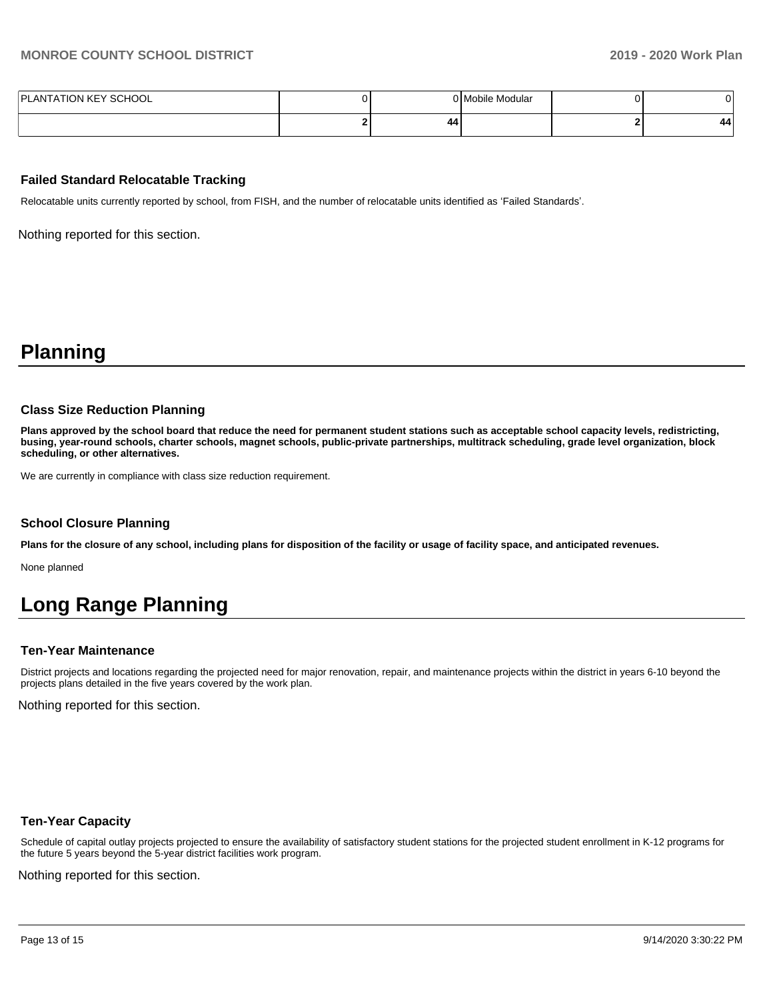| PLANTATION KEY SCHOOL |    | 0 Mobile Modular |    |
|-----------------------|----|------------------|----|
|                       | 44 |                  | 44 |

## **Failed Standard Relocatable Tracking**

Relocatable units currently reported by school, from FISH, and the number of relocatable units identified as 'Failed Standards'.

Nothing reported for this section.

# **Planning**

### **Class Size Reduction Planning**

**Plans approved by the school board that reduce the need for permanent student stations such as acceptable school capacity levels, redistricting, busing, year-round schools, charter schools, magnet schools, public-private partnerships, multitrack scheduling, grade level organization, block scheduling, or other alternatives.**

We are currently in compliance with class size reduction requirement.

#### **School Closure Planning**

**Plans for the closure of any school, including plans for disposition of the facility or usage of facility space, and anticipated revenues.** 

None planned

# **Long Range Planning**

#### **Ten-Year Maintenance**

District projects and locations regarding the projected need for major renovation, repair, and maintenance projects within the district in years 6-10 beyond the projects plans detailed in the five years covered by the work plan.

Nothing reported for this section.

### **Ten-Year Capacity**

Schedule of capital outlay projects projected to ensure the availability of satisfactory student stations for the projected student enrollment in K-12 programs for the future 5 years beyond the 5-year district facilities work program.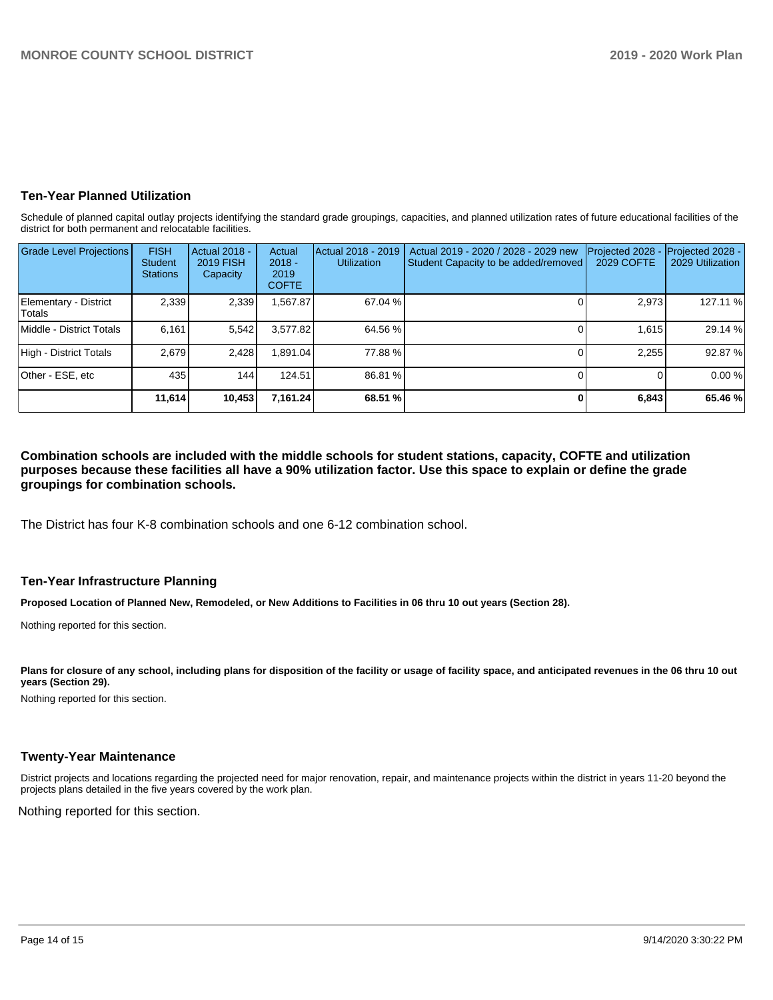# **Ten-Year Planned Utilization**

Schedule of planned capital outlay projects identifying the standard grade groupings, capacities, and planned utilization rates of future educational facilities of the district for both permanent and relocatable facilities.

| <b>Grade Level Projections</b>         | <b>FISH</b><br>Student<br><b>Stations</b> | Actual 2018 -<br>2019 FISH<br>Capacity | Actual<br>$2018 -$<br>2019<br><b>COFTE</b> | Actual 2018 - 2019<br><b>Utilization</b> | Actual 2019 - 2020 / 2028 - 2029 new<br>Student Capacity to be added/removed | Projected 2028<br>2029 COFTE | Projected 2028 -<br>2029 Utilization |
|----------------------------------------|-------------------------------------------|----------------------------------------|--------------------------------------------|------------------------------------------|------------------------------------------------------------------------------|------------------------------|--------------------------------------|
| Elementary - District<br><b>Totals</b> | 2,339                                     | 2,339                                  | 567.87                                     | 67.04 %                                  |                                                                              | 2,973                        | 127.11 %                             |
| Middle - District Totals               | 6.161                                     | 5,542                                  | 3.577.82                                   | 64.56 %                                  |                                                                              | 1.615                        | 29.14 %                              |
| High - District Totals                 | 2.679                                     | 2,428                                  | 1.891.04                                   | 77.88 %                                  |                                                                              | 2,255                        | 92.87%                               |
| Other - ESE, etc                       | 435                                       | 144                                    | 124.51                                     | 86.81 %                                  |                                                                              |                              | 0.00%                                |
|                                        | 11,614                                    | 10,453                                 | 7,161.24                                   | 68.51 %                                  |                                                                              | 6,843                        | 65.46 %                              |

**Combination schools are included with the middle schools for student stations, capacity, COFTE and utilization purposes because these facilities all have a 90% utilization factor. Use this space to explain or define the grade groupings for combination schools.** 

The District has four K-8 combination schools and one 6-12 combination school.

# **Ten-Year Infrastructure Planning**

**Proposed Location of Planned New, Remodeled, or New Additions to Facilities in 06 thru 10 out years (Section 28).**

Nothing reported for this section.

Plans for closure of any school, including plans for disposition of the facility or usage of facility space, and anticipated revenues in the 06 thru 10 out **years (Section 29).**

Nothing reported for this section.

## **Twenty-Year Maintenance**

District projects and locations regarding the projected need for major renovation, repair, and maintenance projects within the district in years 11-20 beyond the projects plans detailed in the five years covered by the work plan.